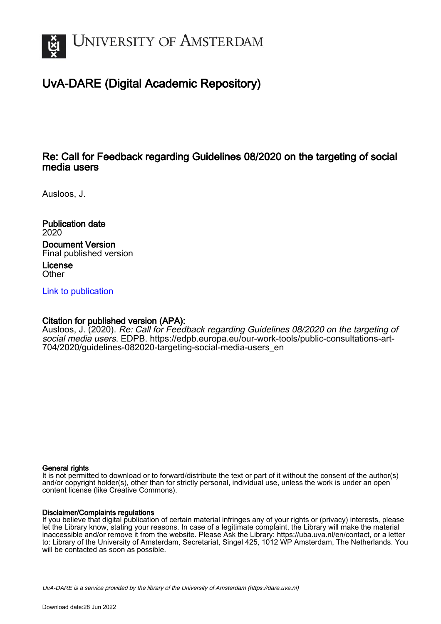

# UvA-DARE (Digital Academic Repository)

## Re: Call for Feedback regarding Guidelines 08/2020 on the targeting of social media users

Ausloos, J.

Publication date 2020 Document Version Final published version

License **Other** 

[Link to publication](https://dare.uva.nl/personal/pure/en/publications/re-call-for-feedback-regarding-guidelines-082020-on-the-targeting-of-social-media-users(eb13eebc-da2b-47d3-9771-9859e37cd816).html)

### Citation for published version (APA):

Ausloos, J. (2020). Re: Call for Feedback regarding Guidelines 08/2020 on the targeting of social media users. EDPB. [https://edpb.europa.eu/our-work-tools/public-consultations-art-](https://edpb.europa.eu/our-work-tools/public-consultations-art-704/2020/guidelines-082020-targeting-social-media-users_en)[704/2020/guidelines-082020-targeting-social-media-users\\_en](https://edpb.europa.eu/our-work-tools/public-consultations-art-704/2020/guidelines-082020-targeting-social-media-users_en)

#### General rights

It is not permitted to download or to forward/distribute the text or part of it without the consent of the author(s) and/or copyright holder(s), other than for strictly personal, individual use, unless the work is under an open content license (like Creative Commons).

#### Disclaimer/Complaints regulations

If you believe that digital publication of certain material infringes any of your rights or (privacy) interests, please let the Library know, stating your reasons. In case of a legitimate complaint, the Library will make the material inaccessible and/or remove it from the website. Please Ask the Library: https://uba.uva.nl/en/contact, or a letter to: Library of the University of Amsterdam, Secretariat, Singel 425, 1012 WP Amsterdam, The Netherlands. You will be contacted as soon as possible.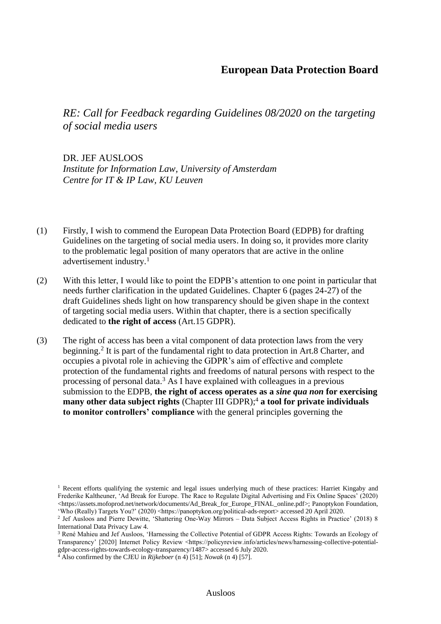### **European Data Protection Board**

*RE: Call for Feedback regarding Guidelines 08/2020 on the targeting of social media users* 

DR. JEF AUSLOOS *Institute for Information Law, University of Amsterdam Centre for IT & IP Law, KU Leuven*

- (1) Firstly, I wish to commend the European Data Protection Board (EDPB) for drafting Guidelines on the targeting of social media users. In doing so, it provides more clarity to the problematic legal position of many operators that are active in the online advertisement industry.<sup>1</sup>
- (2) With this letter, I would like to point the EDPB's attention to one point in particular that needs further clarification in the updated Guidelines. Chapter 6 (pages 24-27) of the draft Guidelines sheds light on how transparency should be given shape in the context of targeting social media users. Within that chapter, there is a section specifically dedicated to **the right of access** (Art.15 GDPR).
- (3) The right of access has been a vital component of data protection laws from the very beginning.<sup>2</sup> It is part of the fundamental right to data protection in Art.8 Charter, and occupies a pivotal role in achieving the GDPR's aim of effective and complete protection of the fundamental rights and freedoms of natural persons with respect to the processing of personal data. <sup>3</sup> As I have explained with colleagues in a previous submission to the EDPB, **the right of access operates as a** *sine qua non* **for exercising many other data subject rights** (Chapter III GDPR):<sup>4</sup> **a tool for private individuals to monitor controllers' compliance** with the general principles governing the

<sup>&</sup>lt;sup>1</sup> Recent efforts qualifying the systemic and legal issues underlying much of these practices: Harriet Kingaby and Frederike Kaltheuner, 'Ad Break for Europe. The Race to Regulate Digital Advertising and Fix Online Spaces' (2020) <https://assets.mofoprod.net/network/documents/Ad\_Break\_for\_Europe\_FINAL\_online.pdf>; Panoptykon Foundation, 'Who (Really) Targets You?' (2020) <https://panoptykon.org/political-ads-report> accessed 20 April 2020.

<sup>&</sup>lt;sup>2</sup> Jef Ausloos and Pierre Dewitte, 'Shattering One-Way Mirrors – Data Subject Access Rights in Practice' (2018) 8 International Data Privacy Law 4.

<sup>3</sup> René Mahieu and Jef Ausloos, 'Harnessing the Collective Potential of GDPR Access Rights: Towards an Ecology of Transparency' [2020] Internet Policy Review <https://policyreview.info/articles/news/harnessing-collective-potentialgdpr-access-rights-towards-ecology-transparency/1487> accessed 6 July 2020.

<sup>4</sup> Also confirmed by the CJEU in *Rijkeboer* (n 4) [51]; *Nowak* (n 4) [57].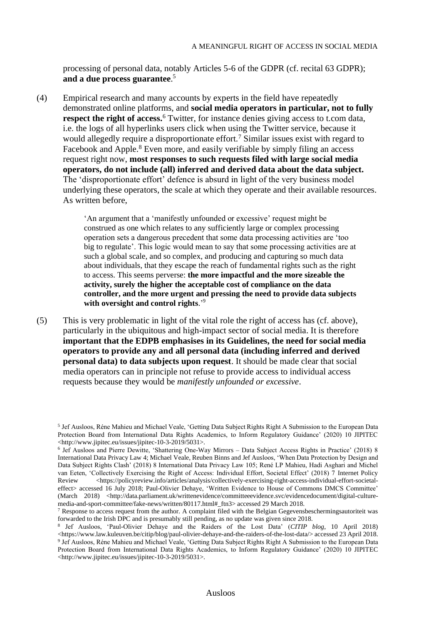processing of personal data, notably Articles 5-6 of the GDPR (cf. recital 63 GDPR); **and a due process guarantee**. 5

(4) Empirical research and many accounts by experts in the field have repeatedly demonstrated online platforms, and **social media operators in particular, not to fully respect the right of access.**<sup>6</sup> Twitter, for instance denies giving access to t.com data, i.e. the logs of all hyperlinks users click when using the Twitter service, because it would allegedly require a disproportionate effort.<sup>7</sup> Similar issues exist with regard to Facebook and Apple.<sup>8</sup> Even more, and easily verifiable by simply filing an access request right now, **most responses to such requests filed with large social media operators, do not include (all) inferred and derived data about the data subject.** The 'disproportionate effort' defence is absurd in light of the very business model underlying these operators, the scale at which they operate and their available resources. As written before,

> 'An argument that a 'manifestly unfounded or excessive' request might be construed as one which relates to any sufficiently large or complex processing operation sets a dangerous precedent that some data processing activities are 'too big to regulate'. This logic would mean to say that some processing activities are at such a global scale, and so complex, and producing and capturing so much data about individuals, that they escape the reach of fundamental rights such as the right to access. This seems perverse: **the more impactful and the more sizeable the activity, surely the higher the acceptable cost of compliance on the data controller, and the more urgent and pressing the need to provide data subjects with oversight and control rights**.' 9

(5) This is very problematic in light of the vital role the right of access has (cf. above), particularly in the ubiquitous and high-impact sector of social media. It is therefore **important that the EDPB emphasises in its Guidelines, the need for social media operators to provide any and all personal data (including inferred and derived personal data) to data subjects upon request**. It should be made clear that social media operators can in principle not refuse to provide access to individual access requests because they would be *manifestly unfounded or excessive*.

<sup>5</sup> Jef Ausloos, Réne Mahieu and Michael Veale, 'Getting Data Subject Rights Right A Submission to the European Data Protection Board from International Data Rights Academics, to Inform Regulatory Guidance' (2020) 10 JIPITEC <http://www.jipitec.eu/issues/jipitec-10-3-2019/5031>.

<sup>6</sup> Jef Ausloos and Pierre Dewitte, 'Shattering One-Way Mirrors – Data Subject Access Rights in Practice' (2018) 8 International Data Privacy Law 4; Michael Veale, Reuben Binns and Jef Ausloos, 'When Data Protection by Design and Data Subject Rights Clash' (2018) 8 International Data Privacy Law 105; René LP Mahieu, Hadi Asghari and Michel van Eeten, 'Collectively Exercising the Right of Access: Individual Effort, Societal Effect' (2018) 7 Internet Policy Review <https://policyreview.info/articles/analysis/collectively-exercising-right-access-individual-effort-societaleffect> accessed 16 July 2018; Paul-Olivier Dehaye, 'Written Evidence to House of Commons DMCS Committee' (March 2018) <http://data.parliament.uk/writtenevidence/committeeevidence.svc/evidencedocument/digital-culturemedia-and-sport-committee/fake-news/written/80117.html#\_ftn3> accessed 29 March 2018.

 $7$  Response to access request from the author. A complaint filed with the Belgian Gegevensbeschermingsautoriteit was forwarded to the Irish DPC and is presumably still pending, as no update was given since 2018.

<sup>8</sup> Jef Ausloos, 'Paul-Olivier Dehaye and the Raiders of the Lost Data' (*CITIP blog*, 10 April 2018) <https://www.law.kuleuven.be/citip/blog/paul-olivier-dehaye-and-the-raiders-of-the-lost-data/> accessed 23 April 2018. 9 Jef Ausloos, Réne Mahieu and Michael Veale, 'Getting Data Subject Rights Right A Submission to the European Data Protection Board from International Data Rights Academics, to Inform Regulatory Guidance' (2020) 10 JIPITEC <http://www.jipitec.eu/issues/jipitec-10-3-2019/5031>.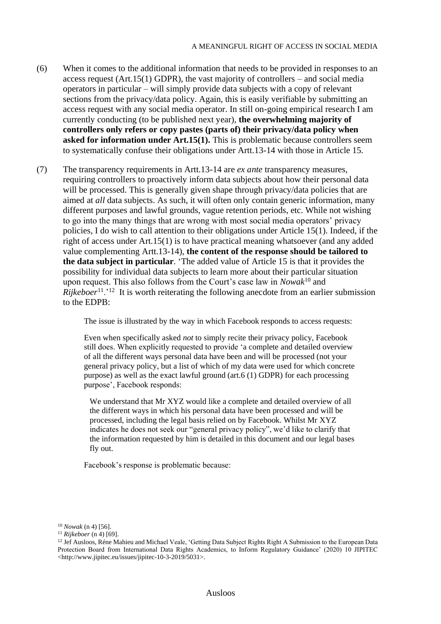- (6) When it comes to the additional information that needs to be provided in responses to an access request  $(Art.15(1)$  GDPR), the vast majority of controllers – and social media operators in particular – will simply provide data subjects with a copy of relevant sections from the privacy/data policy. Again, this is easily verifiable by submitting an access request with any social media operator. In still on-going empirical research I am currently conducting (to be published next year), **the overwhelming majority of controllers only refers or copy pastes (parts of) their privacy/data policy when asked for information under Art.15(1).** This is problematic because controllers seem to systematically confuse their obligations under Artt.13-14 with those in Article 15.
- (7) The transparency requirements in Artt.13-14 are *ex ante* transparency measures, requiring controllers to proactively inform data subjects about how their personal data will be processed. This is generally given shape through privacy/data policies that are aimed at *all* data subjects. As such, it will often only contain generic information, many different purposes and lawful grounds, vague retention periods, etc. While not wishing to go into the many things that are wrong with most social media operators' privacy policies, I do wish to call attention to their obligations under Article 15(1). Indeed, if the right of access under Art.15(1) is to have practical meaning whatsoever (and any added value complementing Artt.13-14), **the content of the response should be tailored to the data subject in particular**. 'The added value of Article 15 is that it provides the possibility for individual data subjects to learn more about their particular situation upon request. This also follows from the Court's case law in *Nowak*<sup>10</sup> and *Rijkeboer*<sup>11</sup>.<sup>'12</sup> It is worth reiterating the following anecdote from an earlier submission to the EDPB:

The issue is illustrated by the way in which Facebook responds to access requests:

Even when specifically asked *not* to simply recite their privacy policy, Facebook still does. When explicitly requested to provide 'a complete and detailed overview of all the different ways personal data have been and will be processed (not your general privacy policy, but a list of which of my data were used for which concrete purpose) as well as the exact lawful ground (art.6 (1) GDPR) for each processing purpose', Facebook responds:

We understand that Mr XYZ would like a complete and detailed overview of all the different ways in which his personal data have been processed and will be processed, including the legal basis relied on by Facebook. Whilst Mr XYZ indicates he does not seek our "general privacy policy", we'd like to clarify that the information requested by him is detailed in this document and our legal bases fly out.

Facebook's response is problematic because:

<sup>10</sup> *Nowak* (n 4) [56].

<sup>11</sup> *Rijkeboer* (n 4) [69].

<sup>&</sup>lt;sup>12</sup> Jef Ausloos, Réne Mahieu and Michael Veale, 'Getting Data Subject Rights Right A Submission to the European Data Protection Board from International Data Rights Academics, to Inform Regulatory Guidance' (2020) 10 JIPITEC <http://www.jipitec.eu/issues/jipitec-10-3-2019/5031>.